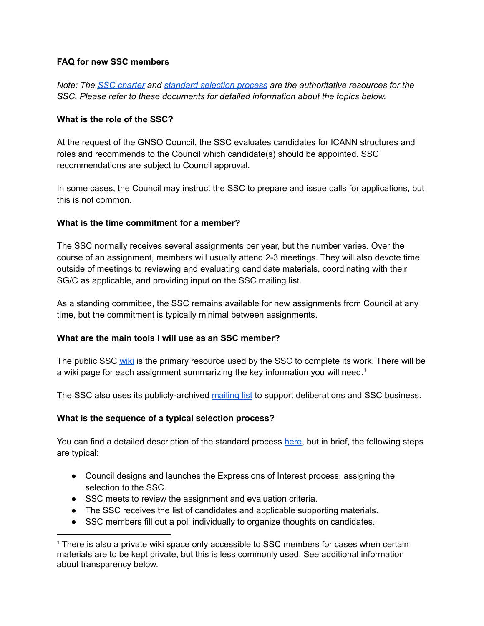# **FAQ for new SSC members**

*Note: The SSC [charter](https://community.icann.org/display/GSSC/2.+Charter) and standard [selection](https://community.icann.org/download/attachments/64077672/DRAFT%20GNSO%20Standing%20Selection%20Committee%20Standard%20Process%209%20August%202017_clean.docx?version=1&modificationDate=1513188055000&api=v2) process are the authoritative resources for the SSC. Please refer to these documents for detailed information about the topics below.*

# **What is the role of the SSC?**

At the request of the GNSO Council, the SSC evaluates candidates for ICANN structures and roles and recommends to the Council which candidate(s) should be appointed. SSC recommendations are subject to Council approval.

In some cases, the Council may instruct the SSC to prepare and issue calls for applications, but this is not common.

### **What is the time commitment for a member?**

The SSC normally receives several assignments per year, but the number varies. Over the course of an assignment, members will usually attend 2-3 meetings. They will also devote time outside of meetings to reviewing and evaluating candidate materials, coordinating with their SG/C as applicable, and providing input on the SSC mailing list.

As a standing committee, the SSC remains available for new assignments from Council at any time, but the commitment is typically minimal between assignments.

### **What are the main tools I will use as an SSC member?**

The public SSC [wiki](https://community.icann.org/display/GSSC/GNSO+Standing+Selection+Committee+Home) is the primary resource used by the SSC to complete its work. There will be a wiki page for each assignment summarizing the key information you will need.<sup>1</sup>

The SSC also uses its publicly-archived [mailing](mailto:gnso-ssc@icann.org) list to support deliberations and SSC business.

### **What is the sequence of a typical selection process?**

You can find a detailed description of the standard process [here](https://community.icann.org/download/attachments/64077672/DRAFT%20GNSO%20Standing%20Selection%20Committee%20Standard%20Process%209%20August%202017_clean.docx?version=1&modificationDate=1513188055000&api=v2), but in brief, the following steps are typical:

- Council designs and launches the Expressions of Interest process, assigning the selection to the SSC.
- SSC meets to review the assignment and evaluation criteria.
- The SSC receives the list of candidates and applicable supporting materials.
- SSC members fill out a poll individually to organize thoughts on candidates.

<sup>1</sup> There is also a private wiki space only accessible to SSC members for cases when certain materials are to be kept private, but this is less commonly used. See additional information about transparency below.